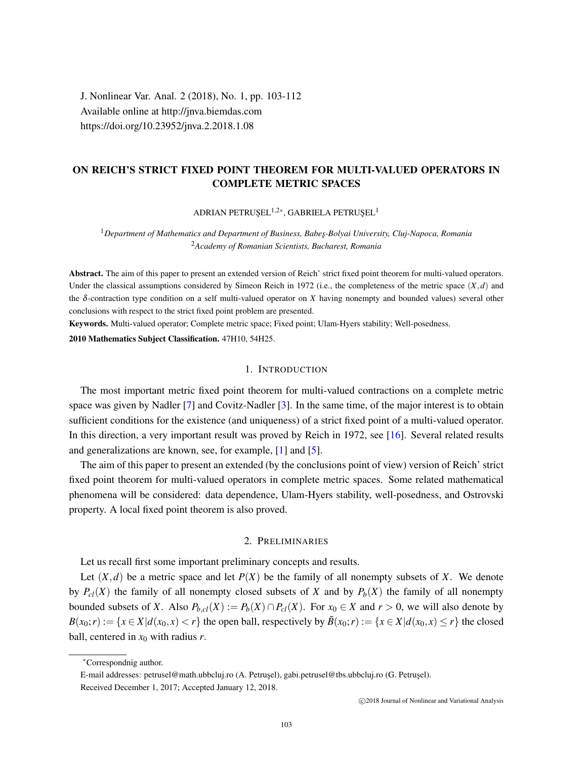J. Nonlinear Var. Anal. 2 (2018), No. 1, pp. 103-112 Available online at http://jnva.biemdas.com https://doi.org/10.23952/jnva.2.2018.1.08

# ON REICH'S STRICT FIXED POINT THEOREM FOR MULTI-VALUED OPERATORS IN COMPLETE METRIC SPACES

ADRIAN PETRUŞEL $^{1,2\ast},$  GABRIELA PETRUŞEL $^1$ 

<sup>1</sup>*Department of Mathematics and Department of Business, Babes¸-Bolyai University, Cluj-Napoca, Romania* <sup>2</sup>*Academy of Romanian Scientists, Bucharest, Romania*

Abstract. The aim of this paper to present an extended version of Reich' strict fixed point theorem for multi-valued operators. Under the classical assumptions considered by Simeon Reich in 1972 (i.e., the completeness of the metric space  $(X,d)$  and the δ-contraction type condition on a self multi-valued operator on *X* having nonempty and bounded values) several other conclusions with respect to the strict fixed point problem are presented.

Keywords. Multi-valued operator; Complete metric space; Fixed point; Ulam-Hyers stability; Well-posedness.

2010 Mathematics Subject Classification. 47H10, 54H25.

## 1. INTRODUCTION

The most important metric fixed point theorem for multi-valued contractions on a complete metric space was given by Nadler [\[7\]](#page-9-0) and Covitz-Nadler [\[3\]](#page-8-0). In the same time, of the major interest is to obtain sufficient conditions for the existence (and uniqueness) of a strict fixed point of a multi-valued operator. In this direction, a very important result was proved by Reich in 1972, see [\[16\]](#page-9-1). Several related results and generalizations are known, see, for example, [\[1\]](#page-8-1) and [\[5\]](#page-9-2).

The aim of this paper to present an extended (by the conclusions point of view) version of Reich' strict fixed point theorem for multi-valued operators in complete metric spaces. Some related mathematical phenomena will be considered: data dependence, Ulam-Hyers stability, well-posedness, and Ostrovski property. A local fixed point theorem is also proved.

## 2. PRELIMINARIES

Let us recall first some important preliminary concepts and results.

Let  $(X, d)$  be a metric space and let  $P(X)$  be the family of all nonempty subsets of X. We denote by  $P_{c}(X)$  the family of all nonempty closed subsets of X and by  $P_{b}(X)$  the family of all nonempty bounded subsets of *X*. Also  $P_{b,cl}(X) := P_b(X) \cap P_{cl}(X)$ . For  $x_0 \in X$  and  $r > 0$ , we will also denote by  $B(x_0;r) := \{x \in X | d(x_0,r) < r\}$  the open ball, respectively by  $\overline{B}(x_0;r) := \{x \in X | d(x_0,r) \leq r\}$  the closed ball, centered in  $x_0$  with radius *r*.

<sup>∗</sup>Correspondnig author.

E-mail addresses: petrusel@math.ubbcluj.ro (A. Petrusel), gabi.petrusel@tbs.ubbcluj.ro (G. Petrusel). Received December 1, 2017; Accepted January 12, 2018.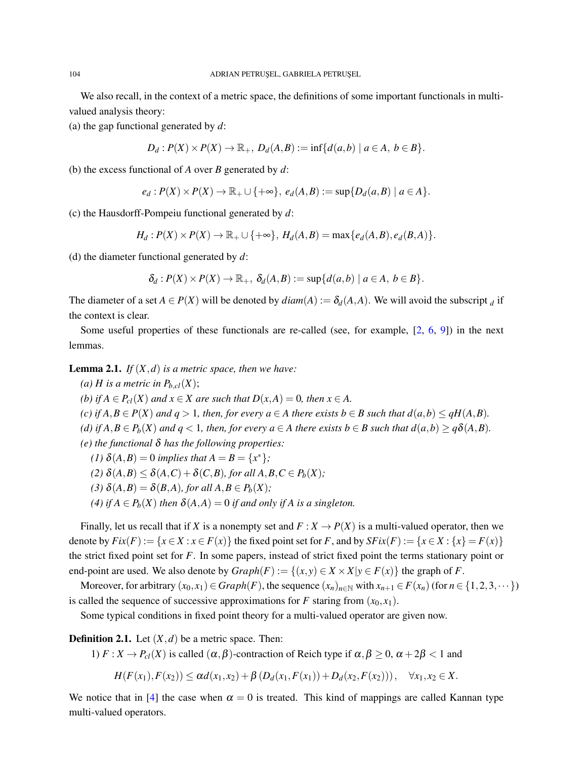We also recall, in the context of a metric space, the definitions of some important functionals in multivalued analysis theory:

(a) the gap functional generated by *d*:

$$
D_d: P(X) \times P(X) \to \mathbb{R}_+, D_d(A, B) := \inf \{ d(a, b) \mid a \in A, b \in B \}.
$$

(b) the excess functional of *A* over *B* generated by *d*:

$$
e_d: P(X) \times P(X) \to \mathbb{R}_+ \cup \{+\infty\}, e_d(A, B) := \sup\{D_d(a, B) \mid a \in A\}.
$$

(c) the Hausdorff-Pompeiu functional generated by *d*:

$$
H_d: P(X) \times P(X) \to \mathbb{R}_+ \cup \{+\infty\}, H_d(A, B) = \max\{e_d(A, B), e_d(B, A)\}.
$$

(d) the diameter functional generated by *d*:

$$
\delta_d: P(X) \times P(X) \to \mathbb{R}_+, \ \delta_d(A,B) := \sup \{d(a,b) \mid a \in A, \ b \in B\}.
$$

The diameter of a set  $A \in P(X)$  will be denoted by  $diam(A) := \delta_d(A, A)$ . We will avoid the subscript *d* if the context is clear.

Some useful properties of these functionals are re-called (see, for example, [\[2,](#page-8-2) [6,](#page-9-3) [9\]](#page-9-4)) in the next lemmas.

<span id="page-1-0"></span>**Lemma 2.1.** *If*  $(X,d)$  *is a metric space, then we have:* 

*(a) H* is a metric in  $P_{b,cl}(X)$ ; *(b) if*  $A \in P_{cl}(X)$  *and*  $x \in X$  *are such that*  $D(x, A) = 0$ *, then*  $x \in A$ *. (c) if*  $A, B ∈ P(X)$  *and*  $q > 1$ *, then, for every*  $a ∈ A$  *there exists*  $b ∈ B$  *such that*  $d(a,b) ≤ qH(A,B)$ *. (d)* if  $A, B \in P_b(X)$  *and*  $q < 1$ *, then, for every*  $a \in A$  *there exists*  $b \in B$  *such that*  $d(a,b) \geq q\delta(A,B)$ *. (e) the functional* δ *has the following properties: (1)*  $\delta(A, B) = 0$  *implies that*  $A = B = \{x^*\};$ (2)  $\delta(A,B) \leq \delta(A,C) + \delta(C,B)$ *, for all*  $A,B,C \in P_b(X)$ *;* 

(3)  $\delta(A,B) = \delta(B,A)$ *, for all*  $A,B \in P_b(X)$ *;* 

(4) *if*  $A \in P_b(X)$  *then*  $\delta(A,A) = 0$  *if and only if* A *is a singleton.* 

Finally, let us recall that if *X* is a nonempty set and  $F: X \to P(X)$  is a multi-valued operator, then we denote by  $Fix(F) := \{x \in X : x \in F(x)\}$  the fixed point set for *F*, and by  $SFix(F) := \{x \in X : \{x\} = F(x)\}$ the strict fixed point set for *F*. In some papers, instead of strict fixed point the terms stationary point or end-point are used. We also denote by  $Graph(F) := \{(x, y) \in X \times X | y \in F(x) \}$  the graph of *F*.

Moreover, for arbitrary  $(x_0, x_1) \in Graph(F)$ , the sequence  $(x_n)_{n \in \mathbb{N}}$  with  $x_{n+1} \in F(x_n)$  (for  $n \in \{1, 2, 3, \dots\}$ ) is called the sequence of successive approximations for  $F$  staring from  $(x_0, x_1)$ .

Some typical conditions in fixed point theory for a multi-valued operator are given now.

**Definition 2.1.** Let  $(X,d)$  be a metric space. Then:

1)  $F: X \to P_{cl}(X)$  is called  $(\alpha, \beta)$ -contraction of Reich type if  $\alpha, \beta \geq 0$ ,  $\alpha + 2\beta < 1$  and

$$
H(F(x_1), F(x_2)) \leq \alpha d(x_1, x_2) + \beta (D_d(x_1, F(x_1)) + D_d(x_2, F(x_2))), \quad \forall x_1, x_2 \in X.
$$

We notice that in [\[4\]](#page-8-3) the case when  $\alpha = 0$  is treated. This kind of mappings are called Kannan type multi-valued operators.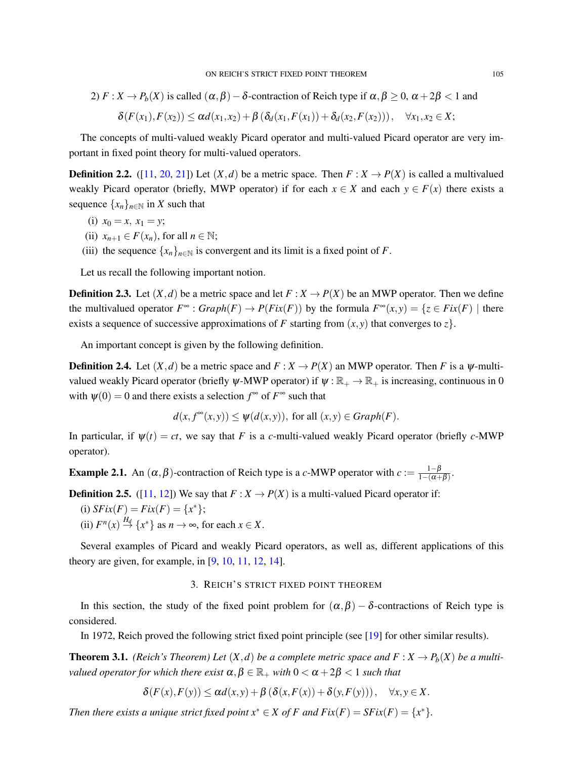2)  $F: X \to P_b(X)$  is called  $(\alpha, \beta) - \delta$ -contraction of Reich type if  $\alpha, \beta \ge 0$ ,  $\alpha + 2\beta < 1$  and

$$
\delta(F(x_1), F(x_2)) \leq \alpha d(x_1,x_2) + \beta (\delta_d(x_1,F(x_1)) + \delta_d(x_2,F(x_2))), \quad \forall x_1,x_2 \in X;
$$

The concepts of multi-valued weakly Picard operator and multi-valued Picard operator are very important in fixed point theory for multi-valued operators.

**Definition 2.2.** ([\[11,](#page-9-5) [20,](#page-9-6) [21\]](#page-9-7)) Let  $(X,d)$  be a metric space. Then  $F: X \to P(X)$  is called a multivalued weakly Picard operator (briefly, MWP operator) if for each  $x \in X$  and each  $y \in F(x)$  there exists a sequence  $\{x_n\}_{n\in\mathbb{N}}$  in *X* such that

- (i)  $x_0 = x, x_1 = y;$
- (ii)  $x_{n+1} \in F(x_n)$ , for all  $n \in \mathbb{N}$ ;
- (iii) the sequence  $\{x_n\}_{n\in\mathbb{N}}$  is convergent and its limit is a fixed point of *F*.

Let us recall the following important notion.

**Definition 2.3.** Let  $(X,d)$  be a metric space and let  $F: X \to P(X)$  be an MWP operator. Then we define the multivalued operator  $F^{\infty}$ :  $Graph(F) \to P(Fix(F))$  by the formula  $F^{\infty}(x, y) = \{z \in Fix(F) \mid \text{there}$ exists a sequence of successive approximations of *F* starting from  $(x, y)$  that converges to *z*.

An important concept is given by the following definition.

**Definition 2.4.** Let  $(X,d)$  be a metric space and  $F: X \to P(X)$  an MWP operator. Then F is a  $\psi$ -multivalued weakly Picard operator (briefly  $\psi$ -MWP operator) if  $\psi : \mathbb{R}_+ \to \mathbb{R}_+$  is increasing, continuous in 0 with  $\psi(0) = 0$  and there exists a selection  $f^{\infty}$  of  $F^{\infty}$  such that

$$
d(x, f^{\infty}(x, y)) \leq \psi(d(x, y)),
$$
 for all  $(x, y) \in Graph(F)$ .

In particular, if  $\psi(t) = ct$ , we say that *F* is a *c*-multi-valued weakly Picard operator (briefly *c*-MWP operator).

**Example 2.1.** An  $(\alpha, \beta)$ -contraction of Reich type is a *c*-MWP operator with  $c := \frac{1-\beta}{1-(\alpha+\beta)}$  $\frac{1-p}{1-(\alpha+\beta)}$ .

**Definition 2.5.** ([\[11,](#page-9-5) [12\]](#page-9-8)) We say that  $F: X \to P(X)$  is a multi-valued Picard operator if:

(i)  $SFix(F) = Fix(F) = \{x^*\};$ 

(ii)  $F^n(x) \stackrel{H_d}{\rightarrow} \{x^*\}$  as  $n \to \infty$ , for each  $x \in X$ .

Several examples of Picard and weakly Picard operators, as well as, different applications of this theory are given, for example, in  $[9, 10, 11, 12, 14]$  $[9, 10, 11, 12, 14]$  $[9, 10, 11, 12, 14]$  $[9, 10, 11, 12, 14]$  $[9, 10, 11, 12, 14]$  $[9, 10, 11, 12, 14]$  $[9, 10, 11, 12, 14]$  $[9, 10, 11, 12, 14]$  $[9, 10, 11, 12, 14]$ .

## 3. REICH'S STRICT FIXED POINT THEOREM

In this section, the study of the fixed point problem for  $(\alpha, \beta) - \delta$ -contractions of Reich type is considered.

In 1972, Reich proved the following strict fixed point principle (see [\[19\]](#page-9-11) for other similar results).

<span id="page-2-0"></span>**Theorem 3.1.** *(Reich's Theorem) Let*  $(X, d)$  *be a complete metric space and*  $F: X \to P_b(X)$  *be a multivalued operator for which there exist*  $\alpha, \beta \in \mathbb{R}_+$  *with*  $0 < \alpha + 2\beta < 1$  *such that* 

$$
\delta(F(x), F(y)) \leq \alpha d(x, y) + \beta \left( \delta(x, F(x)) + \delta(y, F(y)) \right), \quad \forall x, y \in X.
$$

*Then there exists a unique strict fixed point*  $x^* \in X$  *of F and*  $Fix(F) = SFix(F) = \{x^*\}.$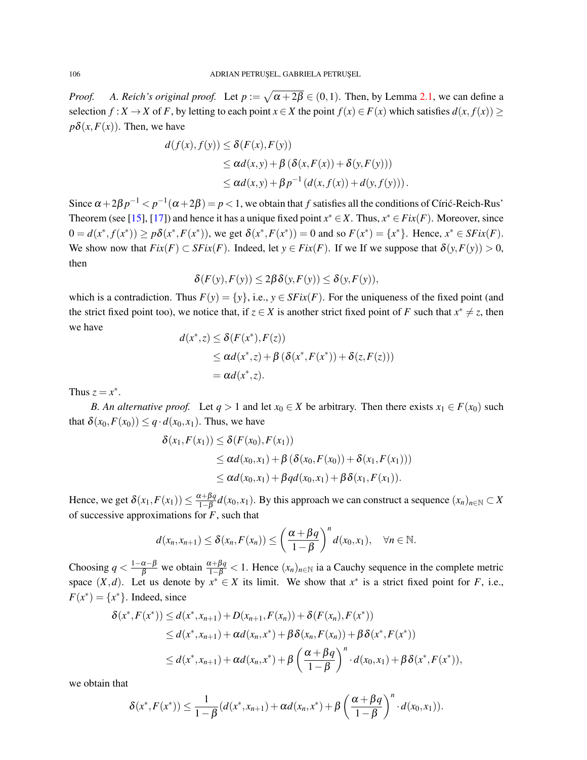*Proof.* A. Reich's original proof. Let  $p := \sqrt{\alpha + 2\beta} \in (0,1)$ . Then, by Lemma [2.1,](#page-1-0) we can define a selection  $f: X \to X$  of F, by letting to each point  $x \in X$  the point  $f(x) \in F(x)$  which satisfies  $d(x, f(x)) \ge$  $p\delta(x, F(x))$ . Then, we have

$$
d(f(x), f(y)) \le \delta(F(x), F(y))
$$
  
\n
$$
\le \alpha d(x, y) + \beta (\delta(x, F(x)) + \delta(y, F(y)))
$$
  
\n
$$
\le \alpha d(x, y) + \beta p^{-1} (d(x, f(x)) + d(y, f(y))).
$$

Since  $\alpha+2\beta p^{-1} < p^{-1}(\alpha+2\beta) = p < 1$ , we obtain that  $f$  satisfies all the conditions of Círić-Reich-Rus' Theorem (see [\[15\]](#page-9-12), [\[17\]](#page-9-13)) and hence it has a unique fixed point  $x^* \in X$ . Thus,  $x^* \in Fix(F)$ . Moreover, since  $0 = d(x^*, f(x^*)) \ge p\delta(x^*, F(x^*)),$  we get  $\delta(x^*, F(x^*)) = 0$  and so  $F(x^*) = \{x^*\}.$  Hence,  $x^* \in SFix(F)$ . We show now that  $Fix(F) \subset SFix(F)$ . Indeed, let  $y \in Fix(F)$ . If we If we suppose that  $\delta(y, F(y)) > 0$ , then

$$
\delta(F(y), F(y)) \le 2\beta \delta(y, F(y)) \le \delta(y, F(y)),
$$

which is a contradiction. Thus  $F(y) = \{y\}$ , i.e.,  $y \in SFix(F)$ . For the uniqueness of the fixed point (and the strict fixed point too), we notice that, if  $z \in X$  is another strict fixed point of *F* such that  $x^* \neq z$ , then we have

$$
d(x^*,z) \leq \delta(F(x^*), F(z))
$$
  
\n
$$
\leq \alpha d(x^*,z) + \beta (\delta(x^*, F(x^*)) + \delta(z,F(z)))
$$
  
\n
$$
= \alpha d(x^*,z).
$$

Thus  $z = x^*$ .

*B. An alternative proof.* Let  $q > 1$  and let  $x_0 \in X$  be arbitrary. Then there exists  $x_1 \in F(x_0)$  such that  $\delta(x_0, F(x_0)) \leq q \cdot d(x_0, x_1)$ . Thus, we have

$$
\delta(x_1, F(x_1)) \leq \delta(F(x_0), F(x_1))
$$
  
\n
$$
\leq \alpha d(x_0, x_1) + \beta (\delta(x_0, F(x_0)) + \delta(x_1, F(x_1)))
$$
  
\n
$$
\leq \alpha d(x_0, x_1) + \beta q d(x_0, x_1) + \beta \delta(x_1, F(x_1)).
$$

Hence, we get  $\delta(x_1, F(x_1)) \leq \frac{\alpha + \beta q}{1 - \beta}$  $\frac{x+pq}{1-\beta}$ *d*(*x*<sub>0</sub>, *x*<sub>1</sub>). By this approach we can construct a sequence  $(x_n)_{n \in \mathbb{N}}$  ⊂ *X* of successive approximations for *F*, such that

$$
d(x_n,x_{n+1}) \leq \delta(x_n,F(x_n)) \leq \left(\frac{\alpha+\beta q}{1-\beta}\right)^n d(x_0,x_1), \quad \forall n \in \mathbb{N}.
$$

Choosing  $q < \frac{1-\alpha-\beta}{\beta}$  we obtain  $\frac{\alpha+\beta q}{1-\beta} < 1$ . Hence  $(x_n)_{n \in \mathbb{N}}$  ia a Cauchy sequence in the complete metric space  $(X,d)$ . Let us denote by  $x^* \in X$  its limit. We show that  $x^*$  is a strict fixed point for *F*, i.e.,  $F(x^*) = \{x^*\}.$  Indeed, since

$$
\delta(x^*, F(x^*)) \le d(x^*, x_{n+1}) + D(x_{n+1}, F(x_n)) + \delta(F(x_n), F(x^*))
$$
  
\n
$$
\le d(x^*, x_{n+1}) + \alpha d(x_n, x^*) + \beta \delta(x_n, F(x_n)) + \beta \delta(x^*, F(x^*))
$$
  
\n
$$
\le d(x^*, x_{n+1}) + \alpha d(x_n, x^*) + \beta \left(\frac{\alpha + \beta q}{1 - \beta}\right)^n \cdot d(x_0, x_1) + \beta \delta(x^*, F(x^*)),
$$

we obtain that

$$
\delta(x^*, F(x^*)) \leq \frac{1}{1-\beta} (d(x^*, x_{n+1}) + \alpha d(x_n, x^*) + \beta \left(\frac{\alpha + \beta q}{1-\beta}\right)^n \cdot d(x_0, x_1)).
$$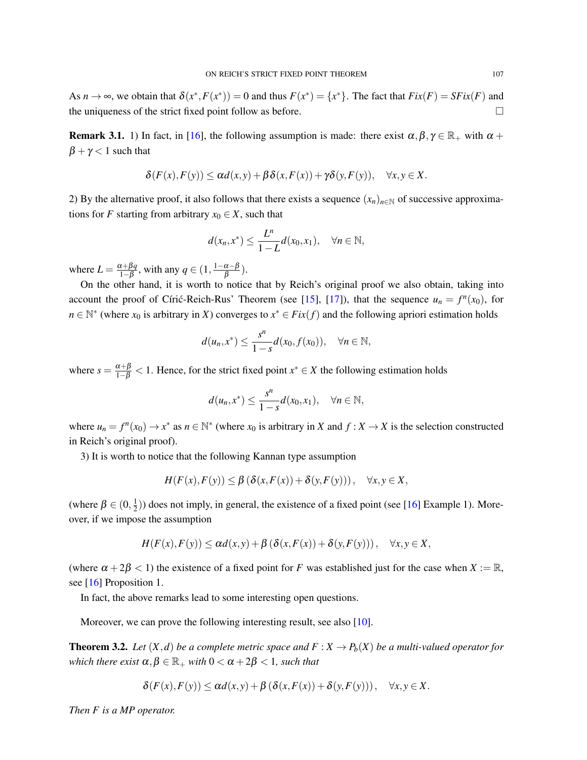As  $n \to \infty$ , we obtain that  $\delta(x^*, F(x^*)) = 0$  and thus  $F(x^*) = \{x^*\}$ . The fact that  $Fix(F) = SFix(F)$  and the uniqueness of the strict fixed point follow as before.  $\Box$ 

**Remark 3.1.** 1) In fact, in [\[16\]](#page-9-1), the following assumption is made: there exist  $\alpha, \beta, \gamma \in \mathbb{R}_+$  with  $\alpha$  +  $\beta + \gamma < 1$  such that

$$
\delta(F(x), F(y)) \leq \alpha d(x, y) + \beta \delta(x, F(x)) + \gamma \delta(y, F(y)), \quad \forall x, y \in X.
$$

2) By the alternative proof, it also follows that there exists a sequence  $(x_n)_{n\in\mathbb{N}}$  of successive approximations for *F* starting from arbitrary  $x_0 \in X$ , such that

$$
d(x_n,x^*) \leq \frac{L^n}{1-L}d(x_0,x_1), \quad \forall n \in \mathbb{N},
$$

where  $L = \frac{\alpha + \beta q}{1 - \beta}$  $\frac{\alpha+\beta q}{1-\beta}$ , with any  $q \in (1, \frac{1-\alpha-\beta}{\beta})$  $\frac{\alpha-p}{\beta}$ ).

On the other hand, it is worth to notice that by Reich's original proof we also obtain, taking into account the proof of Círic-Reich-Rus' Theorem (see [[15\]](#page-9-12), [\[17\]](#page-9-13)), that the sequence  $u_n = f^n(x_0)$ , for  $n \in \mathbb{N}^*$  (where  $x_0$  is arbitrary in *X*) converges to  $x^* \in Fix(f)$  and the following apriori estimation holds

$$
d(u_n, x^*) \le \frac{s^n}{1-s} d(x_0, f(x_0)), \quad \forall n \in \mathbb{N},
$$

where  $s = \frac{\alpha + \beta}{1 - \beta} < 1$ . Hence, for the strict fixed point  $x^* \in X$  the following estimation holds

$$
d(u_n,x^*)\leq \frac{s^n}{1-s}d(x_0,x_1),\quad \forall n\in\mathbb{N},
$$

where  $u_n = f^n(x_0) \to x^*$  as  $n \in \mathbb{N}^*$  (where  $x_0$  is arbitrary in *X* and  $f: X \to X$  is the selection constructed in Reich's original proof).

3) It is worth to notice that the following Kannan type assumption

$$
H(F(x), F(y)) \leq \beta \left( \delta(x, F(x)) + \delta(y, F(y)) \right), \quad \forall x, y \in X,
$$

(where  $\beta \in (0, \frac{1}{2})$  $\frac{1}{2}$ )) does not imply, in general, the existence of a fixed point (see [\[16\]](#page-9-1) Example 1). Moreover, if we impose the assumption

$$
H(F(x), F(y)) \leq \alpha d(x, y) + \beta (\delta(x, F(x)) + \delta(y, F(y))), \quad \forall x, y \in X,
$$

(where  $\alpha + 2\beta < 1$ ) the existence of a fixed point for *F* was established just for the case when *X* := R, see [\[16\]](#page-9-1) Proposition 1.

In fact, the above remarks lead to some interesting open questions.

Moreover, we can prove the following interesting result, see also [\[10\]](#page-9-9).

**Theorem 3.2.** Let  $(X, d)$  be a complete metric space and  $F : X \to P_b(X)$  be a multi-valued operator for *which there exist*  $\alpha, \beta \in \mathbb{R}_+$  *with*  $0 < \alpha + 2\beta < 1$ *, such that* 

$$
\delta(F(x), F(y)) \leq \alpha d(x, y) + \beta \left( \delta(x, F(x)) + \delta(y, F(y)) \right), \quad \forall x, y \in X.
$$

*Then F is a MP operator.*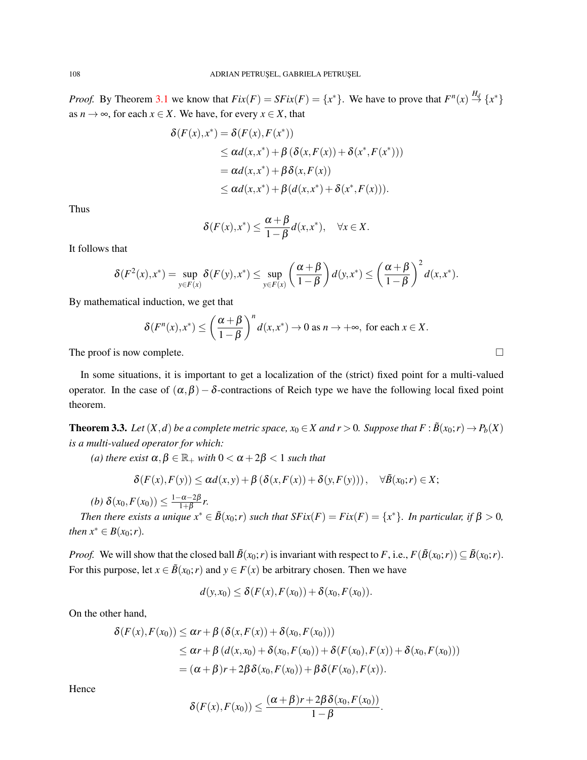*Proof.* By Theorem [3.1](#page-2-0) we know that  $Fix(F) = SFix(F) = \{x^*\}$ . We have to prove that  $F^n(x) \stackrel{H_d}{\to} \{x^*\}$ as  $n \to \infty$ , for each  $x \in X$ . We have, for every  $x \in X$ , that

$$
\delta(F(x),x^*) = \delta(F(x), F(x^*))
$$
  
\n
$$
\leq \alpha d(x,x^*) + \beta (\delta(x,F(x)) + \delta(x^*, F(x^*)))
$$
  
\n
$$
= \alpha d(x,x^*) + \beta \delta(x,F(x))
$$
  
\n
$$
\leq \alpha d(x,x^*) + \beta (d(x,x^*) + \delta(x^*, F(x))).
$$

Thus

$$
\delta(F(x),x^*) \leq \frac{\alpha+\beta}{1-\beta}d(x,x^*), \quad \forall x \in X.
$$

It follows that

$$
\delta(F^2(x),x^*)=\sup_{y\in F(x)}\delta(F(y),x^*)\leq \sup_{y\in F(x)}\left(\frac{\alpha+\beta}{1-\beta}\right)d(y,x^*)\leq \left(\frac{\alpha+\beta}{1-\beta}\right)^2d(x,x^*).
$$

By mathematical induction, we get that

$$
\delta(F^{n}(x),x^{*}) \leq \left(\frac{\alpha+\beta}{1-\beta}\right)^{n} d(x,x^{*}) \to 0 \text{ as } n \to +\infty, \text{ for each } x \in X.
$$

The proof is now complete.  $\Box$ 

In some situations, it is important to get a localization of the (strict) fixed point for a multi-valued operator. In the case of  $(\alpha, \beta) - \delta$ -contractions of Reich type we have the following local fixed point theorem.

**Theorem 3.3.** Let  $(X, d)$  be a complete metric space,  $x_0 \in X$  and  $r > 0$ . Suppose that  $F : \tilde{B}(x_0; r) \to P_b(X)$ *is a multi-valued operator for which:*

*(a) there exist*  $\alpha, \beta \in \mathbb{R}_+$  *with*  $0 < \alpha + 2\beta < 1$  *such that* 

$$
\delta(F(x), F(y)) \leq \alpha d(x, y) + \beta \left( \delta(x, F(x)) + \delta(y, F(y)) \right), \quad \forall \tilde{B}(x_0; r) \in X;
$$

*(b)*  $\delta(x_0, F(x_0)) \leq \frac{1-\alpha-2\beta}{1+\beta}$  $\frac{-\alpha-2p}{1+\beta}r$ .

*Then there exists a unique*  $x^* \in \tilde{B}(x_0; r)$  *such that*  $SFix(F) = Fix(F) = \{x^*\}$ *. In particular, if*  $\beta > 0$ *, then*  $x^* \in B(x_0; r)$ *.* 

*Proof.* We will show that the closed ball  $\tilde{B}(x_0; r)$  is invariant with respect to *F*, i.e.,  $F(\tilde{B}(x_0; r)) \subseteq \tilde{B}(x_0; r)$ . For this purpose, let  $x \in \tilde{B}(x_0; r)$  and  $y \in F(x)$  be arbitrary chosen. Then we have

$$
d(y,x_0)\leq \delta(F(x),F(x_0))+\delta(x_0,F(x_0)).
$$

On the other hand,

$$
\delta(F(x), F(x_0)) \leq \alpha r + \beta (\delta(x, F(x)) + \delta(x_0, F(x_0)))
$$
  
\n
$$
\leq \alpha r + \beta (d(x, x_0) + \delta(x_0, F(x_0)) + \delta(F(x_0), F(x)) + \delta(x_0, F(x_0)))
$$
  
\n
$$
= (\alpha + \beta)r + 2\beta \delta(x_0, F(x_0)) + \beta \delta(F(x_0), F(x)).
$$

Hence

$$
\delta(F(x), F(x_0)) \leq \frac{(\alpha+\beta)r + 2\beta\delta(x_0, F(x_0))}{1-\beta}.
$$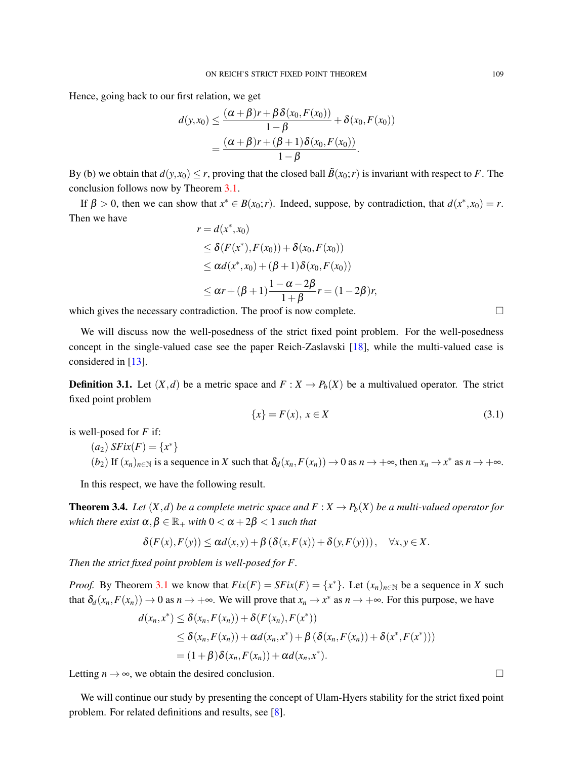Hence, going back to our first relation, we get

$$
d(y,x_0) \leq \frac{(\alpha+\beta)r + \beta \delta(x_0, F(x_0))}{1-\beta} + \delta(x_0, F(x_0))
$$
  
= 
$$
\frac{(\alpha+\beta)r + (\beta+1)\delta(x_0, F(x_0))}{1-\beta}.
$$

By (b) we obtain that  $d(y, x_0) \le r$ , proving that the closed ball  $\tilde{B}(x_0; r)$  is invariant with respect to *F*. The conclusion follows now by Theorem [3.1.](#page-2-0)

If  $\beta > 0$ , then we can show that  $x^* \in B(x_0; r)$ . Indeed, suppose, by contradiction, that  $d(x^*, x_0) = r$ . Then we have

$$
r = d(x^*, x_0)
$$
  
\n
$$
\leq \delta(F(x^*), F(x_0)) + \delta(x_0, F(x_0))
$$
  
\n
$$
\leq \alpha d(x^*, x_0) + (\beta + 1)\delta(x_0, F(x_0))
$$
  
\n
$$
\leq \alpha r + (\beta + 1)\frac{1 - \alpha - 2\beta}{1 + \beta}r = (1 - 2\beta)r,
$$

which gives the necessary contradiction. The proof is now complete.  $\Box$ 

We will discuss now the well-posedness of the strict fixed point problem. For the well-posedness concept in the single-valued case see the paper Reich-Zaslavski [\[18\]](#page-9-14), while the multi-valued case is considered in [\[13\]](#page-9-15).

**Definition 3.1.** Let  $(X,d)$  be a metric space and  $F: X \to P_b(X)$  be a multivalued operator. The strict fixed point problem

<span id="page-6-0"></span>
$$
\{x\} = F(x), \ x \in X \tag{3.1}
$$

is well-posed for *F* if:

 $(a_2)$  *SFix*(*F*) = {*x*<sup>\*</sup>}  $(b_2)$  If  $(x_n)_{n \in \mathbb{N}}$  is a sequence in *X* such that  $\delta_d(x_n, F(x_n)) \to 0$  as  $n \to +\infty$ , then  $x_n \to x^*$  as  $n \to +\infty$ .

In this respect, we have the following result.

**Theorem 3.4.** Let  $(X, d)$  be a complete metric space and  $F : X \to P_b(X)$  be a multi-valued operator for *which there exist*  $\alpha, \beta \in \mathbb{R}_+$  *with*  $0 < \alpha + 2\beta < 1$  *such that* 

$$
\delta(F(x), F(y)) \leq \alpha d(x, y) + \beta \left( \delta(x, F(x)) + \delta(y, F(y)) \right), \quad \forall x, y \in X.
$$

*Then the strict fixed point problem is well-posed for F.*

*Proof.* By Theorem [3.1](#page-2-0) we know that  $Fix(F) = SFix(F) = \{x^*\}$ . Let  $(x_n)_{n \in \mathbb{N}}$  be a sequence in *X* such that  $\delta_d(x_n, F(x_n)) \to 0$  as  $n \to +\infty$ . We will prove that  $x_n \to x^*$  as  $n \to +\infty$ . For this purpose, we have

$$
d(x_n, x^*) \leq \delta(x_n, F(x_n)) + \delta(F(x_n), F(x^*))
$$
  
\n
$$
\leq \delta(x_n, F(x_n)) + \alpha d(x_n, x^*) + \beta (\delta(x_n, F(x_n)) + \delta(x^*, F(x^*)))
$$
  
\n
$$
= (1 + \beta) \delta(x_n, F(x_n)) + \alpha d(x_n, x^*).
$$

Letting  $n \to \infty$ , we obtain the desired conclusion.

We will continue our study by presenting the concept of Ulam-Hyers stability for the strict fixed point problem. For related definitions and results, see [\[8\]](#page-9-16).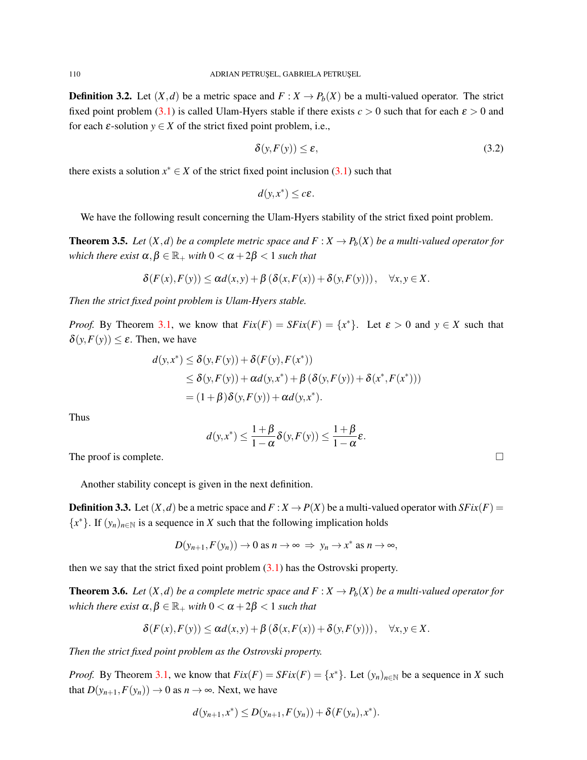**Definition 3.2.** Let  $(X,d)$  be a metric space and  $F: X \to P_b(X)$  be a multi-valued operator. The strict fixed point problem [\(3.1\)](#page-6-0) is called Ulam-Hyers stable if there exists  $c > 0$  such that for each  $\varepsilon > 0$  and for each  $\varepsilon$ -solution  $y \in X$  of the strict fixed point problem, i.e.,

$$
\delta(y, F(y)) \le \varepsilon,\tag{3.2}
$$

there exists a solution  $x^* \in X$  of the strict fixed point inclusion  $(3.1)$  such that

$$
d(y,x^*)\leq c\varepsilon.
$$

We have the following result concerning the Ulam-Hyers stability of the strict fixed point problem.

**Theorem 3.5.** Let  $(X, d)$  be a complete metric space and  $F : X \to P_b(X)$  be a multi-valued operator for *which there exist*  $\alpha, \beta \in \mathbb{R}_+$  *with*  $0 < \alpha + 2\beta < 1$  *such that* 

$$
\delta(F(x), F(y)) \leq \alpha d(x, y) + \beta \left( \delta(x, F(x)) + \delta(y, F(y)) \right), \quad \forall x, y \in X.
$$

*Then the strict fixed point problem is Ulam-Hyers stable.*

*Proof.* By Theorem [3.1,](#page-2-0) we know that  $Fix(F) = SFix(F) = \{x^*\}$ . Let  $\varepsilon > 0$  and  $y \in X$  such that  $\delta(y, F(y)) \leq \varepsilon$ . Then, we have

$$
d(y,x^*) \le \delta(y,F(y)) + \delta(F(y),F(x^*))
$$
  
\n
$$
\le \delta(y,F(y)) + \alpha d(y,x^*) + \beta (\delta(y,F(y)) + \delta(x^*,F(x^*)))
$$
  
\n
$$
= (1+\beta)\delta(y,F(y)) + \alpha d(y,x^*).
$$

Thus

$$
d(y,x^*) \leq \frac{1+\beta}{1-\alpha} \delta(y,F(y)) \leq \frac{1+\beta}{1-\alpha} \varepsilon.
$$

The proof is complete.  $\Box$ 

Another stability concept is given in the next definition.

**Definition 3.3.** Let  $(X, d)$  be a metric space and  $F: X \to P(X)$  be a multi-valued operator with  $SFix(F)$  ${x^*}$ . If  $(y_n)_{n \in \mathbb{N}}$  is a sequence in *X* such that the following implication holds

$$
D(y_{n+1}, F(y_n)) \to 0
$$
 as  $n \to \infty \implies y_n \to x^*$  as  $n \to \infty$ ,

then we say that the strict fixed point problem  $(3.1)$  has the Ostrovski property.

**Theorem 3.6.** Let  $(X, d)$  be a complete metric space and  $F: X \to P_b(X)$  be a multi-valued operator for *which there exist*  $\alpha, \beta \in \mathbb{R}_+$  *with*  $0 < \alpha + 2\beta < 1$  *such that* 

$$
\delta(F(x), F(y)) \leq \alpha d(x, y) + \beta \left( \delta(x, F(x)) + \delta(y, F(y)) \right), \quad \forall x, y \in X.
$$

*Then the strict fixed point problem as the Ostrovski property.*

*Proof.* By Theorem [3.1,](#page-2-0) we know that  $Fix(F) = SFix(F) = \{x^*\}$ . Let  $(y_n)_{n \in \mathbb{N}}$  be a sequence in *X* such that  $D(y_{n+1}, F(y_n)) \to 0$  as  $n \to \infty$ . Next, we have

$$
d(y_{n+1},x^*) \le D(y_{n+1},F(y_n)) + \delta(F(y_n),x^*).
$$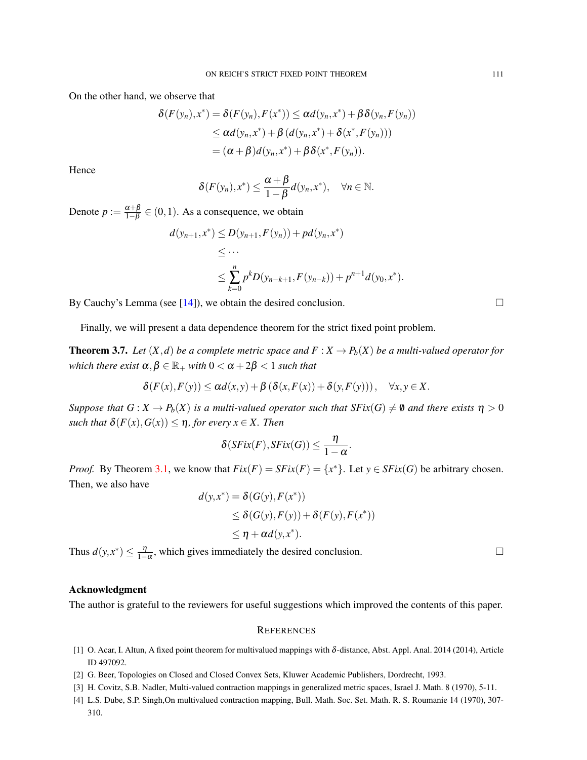On the other hand, we observe that

$$
\delta(F(y_n), x^*) = \delta(F(y_n), F(x^*)) \leq \alpha d(y_n, x^*) + \beta \delta(y_n, F(y_n))
$$
  
\n
$$
\leq \alpha d(y_n, x^*) + \beta (d(y_n, x^*) + \delta(x^*, F(y_n)))
$$
  
\n
$$
= (\alpha + \beta) d(y_n, x^*) + \beta \delta(x^*, F(y_n)).
$$

Hence

$$
\delta(F(y_n),x^*)\leq \frac{\alpha+\beta}{1-\beta}d(y_n,x^*),\quad \forall n\in\mathbb{N}.
$$

Denote  $p := \frac{\alpha + \beta}{1 - \beta}$  $\frac{\alpha+\beta}{1-\beta} \in (0,1)$ . As a consequence, we obtain

$$
d(y_{n+1},x^*) \le D(y_{n+1},F(y_n)) + pd(y_n,x^*)
$$
  
\n
$$
\le \dots
$$
  
\n
$$
\le \sum_{k=0}^n p^k D(y_{n-k+1},F(y_{n-k})) + p^{n+1}d(y_0,x^*).
$$

By Cauchy's Lemma (see [\[14\]](#page-9-10)), we obtain the desired conclusion.  $\square$ 

Finally, we will present a data dependence theorem for the strict fixed point problem.

**Theorem 3.7.** Let  $(X, d)$  be a complete metric space and  $F: X \to P_b(X)$  be a multi-valued operator for *which there exist*  $\alpha, \beta \in \mathbb{R}_+$  *with*  $0 < \alpha + 2\beta < 1$  *such that* 

$$
\delta(F(x), F(y)) \leq \alpha d(x, y) + \beta (\delta(x, F(x)) + \delta(y, F(y))), \quad \forall x, y \in X.
$$

*Suppose that*  $G: X \to P_b(X)$  *is a multi-valued operator such that*  $SFix(G) \neq \emptyset$  *and there exists*  $\eta > 0$ *such that*  $\delta(F(x), G(x)) \leq \eta$ *, for every*  $x \in X$ *. Then* 

$$
\delta(SFix(F), SFix(G)) \leq \frac{\eta}{1-\alpha}.
$$

*Proof.* By Theorem [3.1,](#page-2-0) we know that  $Fix(F) = SFix(F) = \{x^*\}$ . Let  $y \in SFix(G)$  be arbitrary chosen. Then, we also have

$$
d(y, x^*) = \delta(G(y), F(x^*))
$$
  
\n
$$
\leq \delta(G(y), F(y)) + \delta(F(y), F(x^*))
$$
  
\n
$$
\leq \eta + \alpha d(y, x^*).
$$

Thus  $d(y, x^*) \leq \frac{\eta}{1-\alpha}$ , which gives immediately the desired conclusion.

## Acknowledgment

The author is grateful to the reviewers for useful suggestions which improved the contents of this paper.

#### **REFERENCES**

- <span id="page-8-1"></span>[1] O. Acar, I. Altun, A fixed point theorem for multivalued mappings with  $\delta$ -distance, Abst. Appl. Anal. 2014 (2014), Article ID 497092.
- <span id="page-8-2"></span>[2] G. Beer, Topologies on Closed and Closed Convex Sets, Kluwer Academic Publishers, Dordrecht, 1993.
- <span id="page-8-0"></span>[3] H. Covitz, S.B. Nadler, Multi-valued contraction mappings in generalized metric spaces, Israel J. Math. 8 (1970), 5-11.
- <span id="page-8-3"></span>[4] L.S. Dube, S.P. Singh,On multivalued contraction mapping, Bull. Math. Soc. Set. Math. R. S. Roumanie 14 (1970), 307-310.